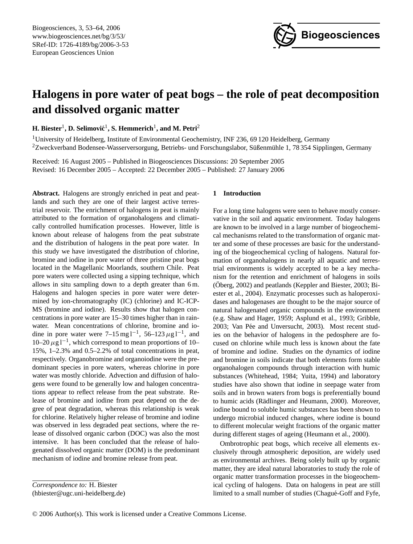

# **Halogens in pore water of peat bogs – the role of peat decomposition and dissolved organic matter**

 $\boldsymbol{\mathrm{H.}}$  Biester<sup>1</sup>, D. Selimović<sup>1</sup>, S. Hemmerich<sup>1</sup>, and M. Petri<sup>2</sup>

<sup>1</sup>University of Heidelberg, Institute of Environmental Geochemistry, INF 236, 69 120 Heidelberg, Germany  $2Z$ weckverband Bodensee-Wasserversorgung, Betriebs- und Forschungslabor, Süßenmühle 1, 78 354 Sipplingen, Germany

Received: 16 August 2005 – Published in Biogeosciences Discussions: 20 September 2005 Revised: 16 December 2005 – Accepted: 22 December 2005 – Published: 27 January 2006

Abstract. Halogens are strongly enriched in peat and peatlands and such they are one of their largest active terrestrial reservoir. The enrichment of halogens in peat is mainly attributed to the formation of organohalogens and climatically controlled humification processes. However, little is known about release of halogens from the peat substrate and the distribution of halogens in the peat pore water. In this study we have investigated the distribution of chlorine, bromine and iodine in pore water of three pristine peat bogs located in the Magellanic Moorlands, southern Chile. Peat pore waters were collected using a sipping technique, which allows in situ sampling down to a depth greater than 6 m. Halogens and halogen species in pore water were determined by ion-chromatography (IC) (chlorine) and IC-ICP-MS (bromine and iodine). Results show that halogen concentrations in pore water are 15–30 times higher than in rainwater. Mean concentrations of chlorine, bromine and iodine in pore water were  $7-15 \text{ mg l}^{-1}$ ,  $56-123 \mu \text{g l}^{-1}$ , and 10–20  $\mu$ g l<sup>-1</sup>, which correspond to mean proportions of 10– 15%, 1–2.3% and 0.5–2.2% of total concentrations in peat, respectively. Organobromine and organoiodine were the predominant species in pore waters, whereas chlorine in pore water was mostly chloride. Advection and diffusion of halogens were found to be generally low and halogen concentrations appear to reflect release from the peat substrate. Release of bromine and iodine from peat depend on the degree of peat degradation, whereas this relationship is weak for chlorine. Relatively higher release of bromine and iodine was observed in less degraded peat sections, where the release of dissolved organic carbon (DOC) was also the most intensive. It has been concluded that the release of halogenated dissolved organic matter (DOM) is the predominant mechanism of iodine and bromine release from peat.

<span id="page-0-0"></span>(hbiester@ugc.uni-heidelberg.de)

# **1 Introduction**

For a long time halogens were seen to behave mostly conservative in the soil and aquatic environment. Today halogens are known to be involved in a large number of biogeochemical mechanisms related to the transformation of organic matter and some of these processes are basic for the understanding of the biogeochemical cycling of halogens. Natural formation of organohalogens in nearly all aquatic and terrestrial environments is widely accepted to be a key mechanism for the retention and enrichment of halogens in soils (Oberg, 2002) and peatlands (Keppler and Biester, 2003; Biester et al., 2004). Enzymatic processes such as haloperoxidases and halogenases are thought to be the major source of natural halogenated organic compounds in the environment (e.g. Shaw and Hager, 1959; Asplund et al., 1993; Gribble, 2003; Van Pée and Unversucht, 2003). Most recent studies on the behavior of halogens in the pedosphere are focused on chlorine while much less is known about the fate of bromine and iodine. Studies on the dynamics of iodine and bromine in soils indicate that both elements form stable organohalogen compounds through interaction with humic substances (Whitehead, 1984; Yuita, 1994) and laboratory studies have also shown that iodine in seepage water from soils and in brown waters from bogs is preferentially bound to humic acids (Rädlinger and Heumann, 2000). Moreover, iodine bound to soluble humic substances has been shown to undergo microbial induced changes, where iodine is bound to different molecular weight fractions of the organic matter during different stages of ageing (Heumann et al., 2000).

Ombrotrophic peat bogs, which receive all elements exclusively through atmospheric deposition, are widely used as environmental archives. Being solely built up by organic matter, they are ideal natural laboratories to study the role of organic matter transformation processes in the biogeochemical cycling of halogens. Data on halogens in peat are still limited to a small number of studies (Chagué-Goff and Fyfe,

*Correspondence to:* H. Biester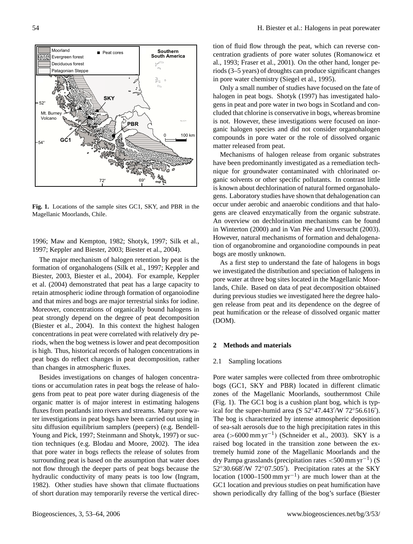

**Fig. 1.** Locations of the sample sites GC1, SKY, and PBR in the Magellanic Moorlands, Chile.

1996; Maw and Kempton, 1982; Shotyk, 1997; Silk et al., 1997; Keppler and Biester, 2003; Biester et al., 2004).

The major mechanism of halogen retention by peat is the formation of organohalogens (Silk et al., 1997; Keppler and Biester, 2003, Biester et al., 2004). For example, Keppler et al. (2004) demonstrated that peat has a large capacity to retain atmospheric iodine through formation of organoiodine and that mires and bogs are major terrestrial sinks for iodine. Moreover, concentrations of organically bound halogens in peat strongly depend on the degree of peat decomposition (Biester et al., 2004). In this context the highest halogen concentrations in peat were correlated with relatively dry periods, when the bog wetness is lower and peat decomposition is high. Thus, historical records of halogen concentrations in peat bogs do reflect changes in peat decomposition, rather than changes in atmospheric fluxes.

Besides investigations on changes of halogen concentrations or accumulation rates in peat bogs the release of halogens from peat to peat pore water during diagenesis of the organic matter is of major interest in estimating halogens fluxes from peatlands into rivers and streams. Many pore water investigations in peat bogs have been carried out using in situ diffusion equilibrium samplers (peepers) (e.g. Bendell-Young and Pick, 1997; Steinmann and Shotyk, 1997) or suction techniques (e.g. Blodau and Moore, 2002). The idea that pore water in bogs reflects the release of solutes from surrounding peat is based on the assumption that water does not flow through the deeper parts of peat bogs because the hydraulic conductivity of many peats is too low (Ingram, 1982). Other studies have shown that climate fluctuations of short duration may temporarily reverse the vertical direction of fluid flow through the peat, which can reverse concentration gradients of pore water solutes (Romanowicz et al., 1993; Fraser et al., 2001). On the other hand, longer periods (3–5 years) of droughts can produce significant changes in pore water chemistry (Siegel et al., 1995).

Only a small number of studies have focused on the fate of halogen in peat bogs. Shotyk (1997) has investigated halogens in peat and pore water in two bogs in Scotland and concluded that chlorine is conservative in bogs, whereas bromine is not. However, these investigations were focused on inorganic halogen species and did not consider organohalogen compounds in pore water or the role of dissolved organic matter released from peat.

Mechanisms of halogen release from organic substrates have been predominantly investigated as a remediation technique for groundwater contaminated with chlorinated organic solvents or other specific pollutants. In contrast little is known about dechlorination of natural formed organohalogens. Laboratory studies have shown that dehalogenation can occur under aerobic and anaerobic conditions and that halogens are cleaved enzymatically from the organic substrate. An overview on dechlorination mechanisms can be found in Winterton (2000) and in Van Pée and Unversucht (2003). However, natural mechanisms of formation and dehalogenation of organobromine and organoiodine compounds in peat bogs are mostly unknown.

As a first step to understand the fate of halogens in bogs we investigated the distribution and speciation of halogens in pore water at three bog sites located in the Magellanic Moorlands, Chile. Based on data of peat decomposition obtained during previous studies we investigated here the degree halogen release from peat and its dependence on the degree of peat humification or the release of dissolved organic matter (DOM).

# **2 Methods and materials**

#### 2.1 Sampling locations

Pore water samples were collected from three ombrotrophic bogs (GC1, SKY and PBR) located in different climatic zones of the Magellanic Moorlands, southernmost Chile (Fig. 1). The GC1 bog is a cushion plant bog, which is typical for the super-humid area (S  $52^{\circ}47.443' / W$   $72^{\circ}56.616'$ ). The bog is characterized by intense atmospheric deposition of sea-salt aerosols due to the high precipitation rates in this area (>6000 mm yr<sup>-1</sup>) (Schneider et al., 2003). SKY is a raised bog located in the transition zone between the extremely humid zone of the Magellanic Moorlands and the dry Pampa grasslands (precipitation rates <500 mm yr<sup>-1</sup>) (S 52°30.668'/W 72°07.505'). Precipitation rates at the SKY location  $(1000-1500 \text{ mm yr}^{-1})$  are much lower than at the GC1 location and previous studies on peat humification have shown periodically dry falling of the bog's surface (Biester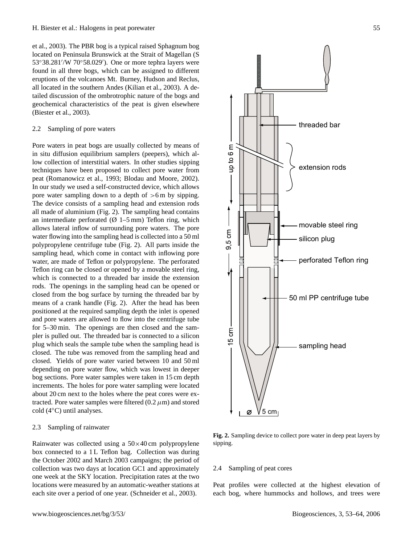et al., 2003). The PBR bog is a typical raised Sphagnum bog located on Peninsula Brunswick at the Strait of Magellan (S 53°38.281'/W 70°58.029'). One or more tephra layers were found in all three bogs, which can be assigned to different eruptions of the volcanoes Mt. Burney, Hudson and Reclus, all located in the southern Andes (Kilian et al., 2003). A detailed discussion of the ombrotrophic nature of the bogs and geochemical characteristics of the peat is given elsewhere (Biester et al., 2003).

## 2.2 Sampling of pore waters

Pore waters in peat bogs are usually collected by means of in situ diffusion equilibrium samplers (peepers), which allow collection of interstitial waters. In other studies sipping techniques have been proposed to collect pore water from peat (Romanowicz et al., 1993; Blodau and Moore, 2002). In our study we used a self-constructed device, which allows pore water sampling down to a depth of  $>6$  m by sipping. The device consists of a sampling head and extension rods all made of aluminium (Fig. 2). The sampling head contains an intermediate perforated  $(\emptyset 1-5$  mm) Teflon ring, which allows lateral inflow of surrounding pore waters. The pore water flowing into the sampling head is collected into a 50 ml polypropylene centrifuge tube (Fig. 2). All parts inside the sampling head, which come in contact with inflowing pore water, are made of Teflon or polypropylene. The perforated Teflon ring can be closed or opened by a movable steel ring, which is connected to a threaded bar inside the extension rods. The openings in the sampling head can be opened or closed from the bog surface by turning the threaded bar by means of a crank handle (Fig. 2). After the head has been positioned at the required sampling depth the inlet is opened and pore waters are allowed to flow into the centrifuge tube for 5–30 min. The openings are then closed and the sampler is pulled out. The threaded bar is connected to a silicon plug which seals the sample tube when the sampling head is closed. The tube was removed from the sampling head and closed. Yields of pore water varied between 10 and 50 ml depending on pore water flow, which was lowest in deeper bog sections. Pore water samples were taken in 15 cm depth increments. The holes for pore water sampling were located about 20 cm next to the holes where the peat cores were extracted. Pore water samples were filtered  $(0.2 \mu m)$  and stored cold (4◦C) until analyses.

## 2.3 Sampling of rainwater

Rainwater was collected using a 50×40 cm polypropylene box connected to a 1L Teflon bag. Collection was during the October 2002 and March 2003 campaigns; the period of collection was two days at location GC1 and approximately one week at the SKY location. Precipitation rates at the two locations were measured by an automatic-weather stations at each site over a period of one year. (Schneider et al., 2003).



**Fig. 2.** Sampling device to collect pore water in deep peat layers by sipping.

## 2.4 Sampling of peat cores

Peat profiles were collected at the highest elevation of each bog, where hummocks and hollows, and trees were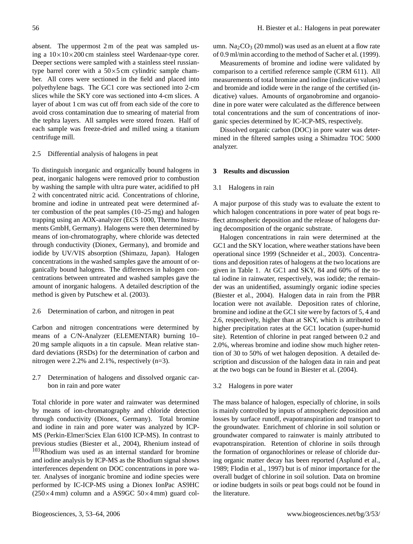absent. The uppermost 2 m of the peat was sampled using a  $10\times10\times200$  cm stainless steel Wardenaar-type corer. Deeper sections were sampled with a stainless steel russiantype barrel corer with a  $50\times 5$  cm cylindric sample chamber. All cores were sectioned in the field and placed into polyethylene bags. The GC1 core was sectioned into 2-cm slices while the SKY core was sectioned into 4-cm slices. A layer of about 1 cm was cut off from each side of the core to avoid cross contamination due to smearing of material from the tephra layers. All samples were stored frozen. Half of each sample was freeze-dried and milled using a titanium centrifuge mill.

## 2.5 Differential analysis of halogens in peat

To distinguish inorganic and organically bound halogens in peat, inorganic halogens were removed prior to combustion by washing the sample with ultra pure water, acidified to pH 2 with concentrated nitric acid. Concentrations of chlorine, bromine and iodine in untreated peat were determined after combustion of the peat samples (10–25 mg) and halogen trapping using an AOX-analyzer (ECS 1000, Thermo Instruments GmbH, Germany). Halogens were then determined by means of ion-chromatography, where chloride was detected through conductivity (Dionex, Germany), and bromide and iodide by UV/VIS absorption (Shimazu, Japan). Halogen concentrations in the washed samples gave the amount of organically bound halogens. The differences in halogen concentrations between untreated and washed samples gave the amount of inorganic halogens. A detailed description of the method is given by Putschew et al. (2003).

#### 2.6 Determination of carbon, and nitrogen in peat

Carbon and nitrogen concentrations were determined by means of a C/N-Analyzer (ELEMENTAR) burning 10– 20 mg sample aliquots in a tin capsule. Mean relative standard deviations (RSDs) for the determination of carbon and nitrogen were 2.2% and 2.1%, respectively (n=3).

2.7 Determination of halogens and dissolved organic carbon in rain and pore water

Total chloride in pore water and rainwater was determined by means of ion-chromatography and chloride detection through conductivity (Dionex, Germany). Total bromine and iodine in rain and pore water was analyzed by ICP-MS (Perkin-Elmer/Sciex Elan 6100 ICP-MS). In contrast to previous studies (Biester et al., 2004), Rhenium instead of <sup>103</sup>Rhodium was used as an internal standard for bromine and iodine analysis by ICP-MS as the Rhodium signal shows interferences dependent on DOC concentrations in pore water. Analyses of inorganic bromine and iodine species were performed by IC-ICP-MS using a Dionex IonPac AS9HC  $(250\times4 \text{ mm})$  column and a AS9GC 50 $\times4 \text{ mm}$ ) guard col-

umn.  $Na<sub>2</sub>CO<sub>3</sub>$  (20 mmol) was used as an eluent at a flow rate of 0.9 ml/min according to the method of Sacher et al. (1999).

Measurements of bromine and iodine were validated by comparison to a certified reference sample (CRM 611). All measurements of total bromine and iodine (indicative values) and bromide and iodide were in the range of the certified (indicative) values. Amounts of organobromine and organoiodine in pore water were calculated as the difference between total concentrations and the sum of concentrations of inorganic species determined by IC-ICP-MS, respectively.

Dissolved organic carbon (DOC) in pore water was determined in the filtered samples using a Shimadzu TOC 5000 analyzer.

## **3 Results and discussion**

## 3.1 Halogens in rain

A major purpose of this study was to evaluate the extent to which halogen concentrations in pore water of peat bogs reflect atmospheric deposition and the release of halogens during decomposition of the organic substrate.

Halogen concentrations in rain were determined at the GC1 and the SKY location, where weather stations have been operational since 1999 (Schneider et al., 2003). Concentrations and deposition rates of halogens at the two locations are given in Table 1. At GC1 and SKY, 84 and 60% of the total iodine in rainwater, respectively, was iodide; the remainder was an unidentified, assumingly organic iodine species (Biester et al., 2004). Halogen data in rain from the PBR location were not available. Deposition rates of chlorine, bromine and iodine at the GC1 site were by factors of 5, 4 and 2.6, respectively, higher than at SKY, which is attributed to higher precipitation rates at the GC1 location (super-humid site). Retention of chlorine in peat ranged between 0.2 and 2.0%, whereas bromine and iodine show much higher retention of 30 to 50% of wet halogen deposition. A detailed description and discussion of the halogen data in rain and peat at the two bogs can be found in Biester et al. (2004).

# 3.2 Halogens in pore water

The mass balance of halogen, especially of chlorine, in soils is mainly controlled by inputs of atmospheric deposition and losses by surface runoff, evapotranspiration and transport to the groundwater. Enrichment of chlorine in soil solution or groundwater compared to rainwater is mainly attributed to evapotranspiration. Retention of chlorine in soils through the formation of organochlorines or release of chloride during organic matter decay has been reported (Asplund et al., 1989; Flodin et al., 1997) but is of minor importance for the overall budget of chlorine in soil solution. Data on bromine or iodine budgets in soils or peat bogs could not be found in the literature.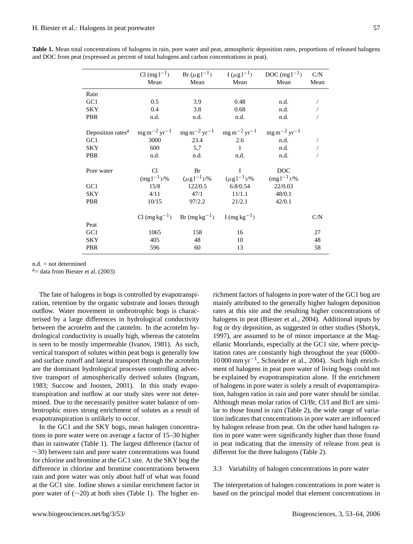|                                                                                                                                                                               | Mean  | Mean                                                                                              | Mean           | Cl (mg l <sup>-1</sup> ) Br ( $\mu$ g l <sup>-1</sup> ) I ( $\mu$ g l <sup>-1</sup> ) DOC (mg l <sup>-1</sup> )<br>Mean | C/N<br>Mean |
|-------------------------------------------------------------------------------------------------------------------------------------------------------------------------------|-------|---------------------------------------------------------------------------------------------------|----------------|-------------------------------------------------------------------------------------------------------------------------|-------------|
| Rain                                                                                                                                                                          |       |                                                                                                   |                |                                                                                                                         |             |
| GC1                                                                                                                                                                           | 0.5   | 3.9                                                                                               | 0.48           | n.d.                                                                                                                    |             |
| <b>SKY</b>                                                                                                                                                                    | 0.4   | 3.8                                                                                               | 0.68           | n.d.                                                                                                                    |             |
| PBR                                                                                                                                                                           | n.d.  | n.d.                                                                                              | n.d.           | n.d.                                                                                                                    |             |
| Deposition rates <sup>a</sup> mg m <sup>-2</sup> yr <sup>-1</sup> mg m <sup>-2</sup> yr <sup>-1</sup> mg m <sup>-2</sup> yr <sup>-1</sup> mg m <sup>-2</sup> yr <sup>-1</sup> |       |                                                                                                   |                |                                                                                                                         |             |
| GC1                                                                                                                                                                           | 3000  |                                                                                                   | 23.4 2.6       | n.d.                                                                                                                    |             |
| <b>SKY</b>                                                                                                                                                                    | 600   | 5,7                                                                                               | $\sim$ 1       | n.d.                                                                                                                    |             |
| PBR                                                                                                                                                                           | n.d.  | n.d.                                                                                              | n.d.           | n.d.                                                                                                                    |             |
| Pore water                                                                                                                                                                    | Cl.   | Br                                                                                                | $\blacksquare$ | <b>DOC</b>                                                                                                              |             |
|                                                                                                                                                                               |       | $(\text{mg 1}^{-1})\%$ $(\mu \text{g 1}^{-1})\%$ $(\mu \text{g 1}^{-1})\%$ $(\text{mg 1}^{-1})\%$ |                |                                                                                                                         |             |
| GC1                                                                                                                                                                           | 15/8  | 122/0.5                                                                                           | 6.8/0.54       | 22/0.03                                                                                                                 |             |
| <b>SKY</b>                                                                                                                                                                    | 4/11  | 47/1                                                                                              | 11/1.1         | 48/0.1                                                                                                                  |             |
| <b>PBR</b>                                                                                                                                                                    | 10/15 | 97/2.2                                                                                            | 21/2.1         | 42/0.1                                                                                                                  |             |
|                                                                                                                                                                               |       | Cl $(mg kg^{-1})$ Br $(mg kg^{-1})$ I $(mg kg^{-1})$                                              |                |                                                                                                                         | C/N         |
| Peat                                                                                                                                                                          |       |                                                                                                   |                |                                                                                                                         |             |
| GC <sub>1</sub>                                                                                                                                                               | 1065  | 158                                                                                               | 16             |                                                                                                                         | 27          |
| <b>SKY</b>                                                                                                                                                                    | 405   | 48                                                                                                | 10             |                                                                                                                         | 48          |
| <b>PBR</b>                                                                                                                                                                    | 596   | 60                                                                                                | 13             |                                                                                                                         | 58          |

**Table 1.** Mean total concentrations of halogens in rain, pore water and peat, atmospheric deposition rates, proportions of released halogens and DOC from peat (expressed as percent of total halogens and carbon concentrations in peat).

n.d. = not determined

 $a$ = data from Biester et al. (2003)

The fate of halogens in bogs is controlled by evapotranspiration, retention by the organic substrate and losses through outflow. Water movement in ombrotrophic bogs is characterised by a large differences in hydrological conductivity between the acrotelm and the catotelm. In the acrotelm hydrological conductivity is usually high, whereas the catotelm is seen to be mostly impermeable (Ivanov, 1981). As such, vertical transport of solutes within peat bogs is generally low and surface runoff and lateral transport through the acrotelm are the dominant hydrological processes controlling advective transport of atmospherically derived solutes (Ingram, 1983; Succow and Joosten, 2001). In this study evapotranspiration and outflow at our study sites were not determined. Due to the necessarily positive water balance of ombrotrophic mires strong enrichment of solutes as a result of evapotranspiration is unlikely to occur.

In the GC1 and the SKY bogs, mean halogen concentrations in pore water were on average a factor of 15–30 higher than in rainwater (Table 1). The largest difference (factor of ∼30) between rain and pore water concentrations was found for chlorine and bromine at the GC1 site. At the SKY bog the difference in chlorine and bromine concentrations between rain and pore water was only about half of what was found at the GC1 site. Iodine shows a similar enrichment factor in pore water of (∼20) at both sites (Table 1). The higher enrichment factors of halogens in pore water of the GC1 bog are mainly attributed to the generally higher halogen deposition rates at this site and the resulting higher concentrations of halogens in peat (Biester et al., 2004). Additional inputs by fog or dry deposition, as suggested in other studies (Shotyk, 1997), are assumed to be of minor importance at the Magellanic Moorlands, especially at the GC1 site, where precipitation rates are constantly high throughout the year (6000– 10 000 mm yr−<sup>1</sup> , Schneider et al., 2004). Such high enrichment of halogens in peat pore water of living bogs could not be explained by evapotranspiration alone. If the enrichment of halogens in pore water is solely a result of evapotranspiration, halogen ratios in rain and pore water should be similar. Although mean molar ratios of Cl/Br, Cl/I and Br/I are similar to those found in rain (Table 2), the wide range of variation indicates that concentrations in pore water are influenced by halogen release from peat. On the other hand halogen ratios in pore water were significantly higher than those found in peat indicating that the intensity of release from peat is different for the three halogens (Table 2).

3.3 Variability of halogen concentrations in pore water

The interpretation of halogen concentrations in pore water is based on the principal model that element concentrations in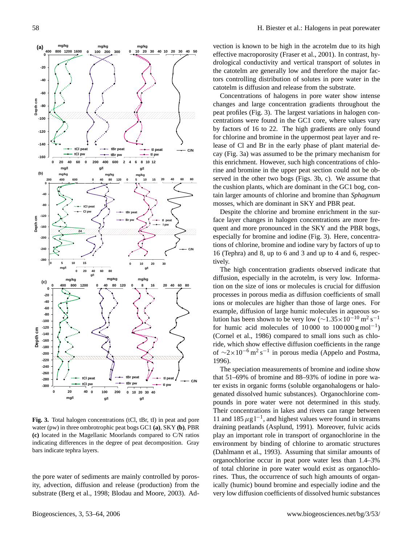

**Fig. 3.** Total halogen concentrations (tCl, tBr, tI) in peat and pore water (pw) in three ombrotrophic peat bogs GC1 **(a)**, SKY **(b)**, PBR **(c)** located in the Magellanic Moorlands compared to C/N ratios indicating differences in the degree of peat decomposition. Gray bars indicate tephra layers.

the pore water of sediments are mainly controlled by porosity, advection, diffusion and release (production) from the substrate (Berg et al., 1998; Blodau and Moore, 2003). Ad-

vection is known to be high in the acrotelm due to its high effective macroporosity (Fraser et al., 2001). In contrast, hydrological conductivity and vertical transport of solutes in the catotelm are generally low and therefore the major factors controlling distribution of solutes in pore water in the catotelm is diffusion and release from the substrate.

Concentrations of halogens in pore water show intense changes and large concentration gradients throughout the peat profiles (Fig. 3). The largest variations in halogen concentrations were found in the GC1 core, where values vary by factors of 16 to 22. The high gradients are only found for chlorine and bromine in the uppermost peat layer and release of Cl and Br in the early phase of plant material decay (Fig. 3a) was assumed to be the primary mechanism for this enrichment. However, such high concentrations of chlorine and bromine in the upper peat section could not be observed in the other two bogs (Figs. 3b, c). We assume that the cushion plants, which are dominant in the GC1 bog, contain larger amounts of chlorine and bromine than *Sphagnum* mosses, which are dominant in SKY and PBR peat.

Despite the chlorine and bromine enrichment in the surface layer changes in halogen concentrations are more frequent and more pronounced in the SKY and the PBR bogs, especially for bromine and iodine (Fig. 3). Here, concentrations of chlorine, bromine and iodine vary by factors of up to 16 (Tephra) and 8, up to 6 and 3 and up to 4 and 6, respectively.

The high concentration gradients observed indicate that diffusion, especially in the acrotelm, is very low. Information on the size of ions or molecules is crucial for diffusion processes in porous media as diffusion coefficients of small ions or molecules are higher than those of large ones. For example, diffusion of large humic molecules in aqueous solution has been shown to be very low ( $\sim$ 1.35×10<sup>-10</sup> m<sup>2</sup> s<sup>-1</sup> for humic acid molecules of  $10000$  to  $100000 \text{ g mol}^{-1}$ ) (Cornel et al., 1986) compared to small ions such as chloride, which show effective diffusion coefficients in the range of  $\sim$ 2×10<sup>-6</sup> m<sup>2</sup> s<sup>-1</sup> in porous media (Appelo and Postma, 1996).

The speciation measurements of bromine and iodine show that 51–69% of bromine and 88–93% of iodine in pore water exists in organic forms (soluble organohalogens or halogenated dissolved humic substances). Organochlorine compounds in pore water were not determined in this study. Their concentrations in lakes and rivers can range between 11 and 185  $\mu$ g l<sup>-1</sup>, and highest values were found in streams draining peatlands (Asplund, 1991). Moreover, fulvic acids play an important role in transport of organochlorine in the environment by binding of chlorine to aromatic structures (Dahlmann et al., 1993). Assuming that similar amounts of organochlorine occur in peat pore water less than 1.4–3% of total chlorine in pore water would exist as organochlorines. Thus, the occurrence of such high amounts of organically (humic) bound bromine and especially iodine and the very low diffusion coefficients of dissolved humic substances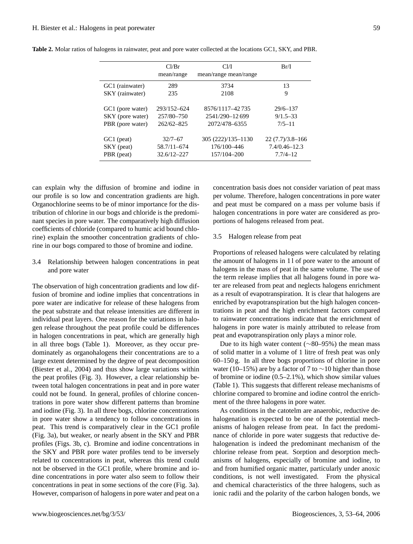|                  | Cl/Br<br>mean/range | Cl/I<br>mean/range mean/range | Br/I                |
|------------------|---------------------|-------------------------------|---------------------|
| GC1 (rainwater)  | 289                 | 3734                          | 13                  |
| SKY (rainwater)  | 235                 | 2108                          | 9                   |
| GC1 (pore water) | 293/152-624         | 8576/1117-42735               | $29/6 - 137$        |
| SKY (pore water) | 257/80-750          | 2541/290-12699                | $9/1.5 - 33$        |
| PBR (pore water) | $262/62 - 825$      | 2072/478-6355                 | $7/5 - 11$          |
| GC1 (peat)       | $32/7 - 67$         | 305 (222)/135-1130            | $22(7.7)/3.8 - 166$ |
| SKY (peat)       | 58.7/11-674         | 176/100-446                   | $7.4/0.46 - 12.3$   |
| PBR (peat)       | $32.6/12 - 227$     | 157/104-200                   | $7.7/4 - 12$        |

**Table 2.** Molar ratios of halogens in rainwater, peat and pore water collected at the locations GC1, SKY, and PBR.

can explain why the diffusion of bromine and iodine in our profile is so low and concentration gradients are high. Organochlorine seems to be of minor importance for the distribution of chlorine in our bogs and chloride is the predominant species in pore water. The comparatively high diffusion coefficients of chloride (compared to humic acid bound chlorine) explain the smoother concentration gradients of chlorine in our bogs compared to those of bromine and iodine.

# 3.4 Relationship between halogen concentrations in peat and pore water

The observation of high concentration gradients and low diffusion of bromine and iodine implies that concentrations in pore water are indicative for release of these halogens from the peat substrate and that release intensities are different in individual peat layers. One reason for the variations in halogen release throughout the peat profile could be differences in halogen concentrations in peat, which are generally high in all three bogs (Table 1). Moreover, as they occur predominately as organohalogens their concentrations are to a large extent determined by the degree of peat decomposition (Biester et al., 2004) and thus show large variations within the peat profiles (Fig. 3). However, a clear relationship between total halogen concentrations in peat and in pore water could not be found. In general, profiles of chlorine concentrations in pore water show different patterns than bromine and iodine (Fig. 3). In all three bogs, chlorine concentrations in pore water show a tendency to follow concentrations in peat. This trend is comparatively clear in the GC1 profile (Fig. 3a), but weaker, or nearly absent in the SKY and PBR profiles (Figs. 3b, c). Bromine and iodine concentrations in the SKY and PBR pore water profiles tend to be inversely related to concentrations in peat, whereas this trend could not be observed in the GC1 profile, where bromine and iodine concentrations in pore water also seem to follow their concentrations in peat in some sections of the core (Fig. 3a). However, comparison of halogens in pore water and peat on a concentration basis does not consider variation of peat mass per volume. Therefore, halogen concentrations in pore water and peat must be compared on a mass per volume basis if halogen concentrations in pore water are considered as proportions of halogens released from peat.

#### 3.5 Halogen release from peat

Proportions of released halogens were calculated by relating the amount of halogens in 1 l of pore water to the amount of halogens in the mass of peat in the same volume. The use of the term release implies that all halogens found in pore water are released from peat and neglects halogens enrichment as a result of evapotranspiration. It is clear that halogens are enriched by evapotranspiration but the high halogen concentrations in peat and the high enrichment factors compared to rainwater concentrations indicate that the enrichment of halogens in pore water is mainly attributed to release from peat and evapotranspiration only plays a minor role.

Due to its high water content (∼80–95%) the mean mass of solid matter in a volume of 1 litre of fresh peat was only 60–150 g. In all three bogs proportions of chlorine in pore water (10–15%) are by a factor of 7 to  $\sim$ 10 higher than those of bromine or iodine (0.5–2.1%), which show similar values (Table 1). This suggests that different release mechanisms of chlorine compared to bromine and iodine control the enrichment of the three halogens in pore water.

As conditions in the catotelm are anaerobic, reductive dehalogenation is expected to be one of the potential mechanisms of halogen release from peat. In fact the predominance of chloride in pore water suggests that reductive dehalogenation is indeed the predominant mechanism of the chlorine release from peat. Sorption and desorption mechanisms of halogens, especially of bromine and iodine, to and from humified organic matter, particularly under anoxic conditions, is not well investigated. From the physical and chemical characteristics of the three halogens, such as ionic radii and the polarity of the carbon halogen bonds, we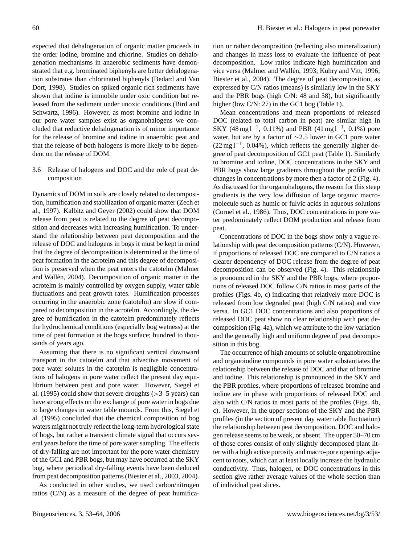expected that dehalogenation of organic matter proceeds in the order iodine, bromine and chlorine. Studies on dehalogenation mechanisms in anaerobic sediments have demonstrated that e.g. brominated biphenyls are better dehalogenation substrates than chlorinated biphenyls (Bedard and Van Dort, 1998). Studies on spiked organic rich sediments have shown that iodine is immobile under oxic condition but released from the sediment under unoxic conditions (Bird and Schwartz, 1996). However, as most bromine and iodine in our pore water samples exist as organohalogens we concluded that reductive dehalogenation is of minor importance for the release of bromine and iodine in anaerobic peat and that the release of both halogens is more likely to be dependent on the release of DOM.

3.6 Release of halogens and DOC and the role of peat decomposition

Dynamics of DOM in soils are closely related to decomposition, humification and stabilization of organic matter (Zech et al., 1997). Kalbitz and Geyer (2002) could show that DOM release from peat is related to the degree of peat decomposition and decreases with increasing humification. To understand the relationship between peat decomposition and the release of DOC and halogens in bogs it must be kept in mind that the degree of decomposition is determined at the time of peat formation in the acrotelm and this degree of decomposition is preserved when the peat enters the catotelm (Malmer and Wallén, 2004). Decomposition of organic matter in the acrotelm is mainly controlled by oxygen supply, water table fluctuations and peat growth rates. Humification processes occurring in the anaerobic zone (catotelm) are slow if compared to decomposition in the acrotelm. Accordingly, the degree of humification in the catotelm predominately reflects the hydrochemical conditions (especially bog wetness) at the time of peat formation at the bogs surface; hundred to thousands of years ago.

Assuming that there is no significant vertical downward transport in the catotelm and that advective movement of pore water solutes in the catotelm is negligible concentrations of halogens in pore water reflect the present day equilibrium between peat and pore water. However, Siegel et al. (1995) could show that severe droughts  $(>=3-5$  years) can have strong effects on the exchange of pore water in bogs due to large changes in water table mounds. From this, Siegel et al. (1995) concluded that the chemical composition of bog waters might not truly reflect the long-term hydrological state of bogs, but rather a transient climate signal that occurs several years before the time of pore water sampling. The effects of dry-falling are not important for the pore water chemistry of the GC1 and PBR bogs, but may have occurred at the SKY bog, where periodical dry-falling events have been deduced from peat decomposition patterns (Biester et al., 2003, 2004).

As conducted in other studies, we used carbon/nitrogen ratios (C/N) as a measure of the degree of peat humifica-

tion or rather decomposition (reflecting also mineralization) and changes in mass loss to evaluate the influence of peat decomposition. Low ratios indicate high humification and vice versa (Malmer and Wallén, 1993; Kuhry and Vitt, 1996; Biester et al., 2004). The degree of peat decomposition, as expressed by C/N ratios (means) is similarly low in the SKY and the PBR bogs (high C/N: 48 and 58), but significantly higher (low C/N: 27) in the GC1 bog (Table 1).

Mean concentrations and mean proportions of released DOC (related to total carbon in peat) are similar high in SKY (48 mg  $l^{-1}$ , 0.11%) and PBR (41 mg  $l^{-1}$ , 0.1%) pore water, but are by a factor of ∼2.5 lower in GC1 pore water (22 mg l−<sup>1</sup> , 0.04%), which reflects the generally higher degree of peat decomposition of GC1 peat (Table 1). Similarly to bromine and iodine, DOC concentrations in the SKY and PBR bogs show large gradients throughout the profile with changes in concentrations by more then a factor of 2 (Fig. 4). As discussed for the organohalogens, the reason for this steep gradients is the very low diffusion of large organic macromolecule such as humic or fulvic acids in aqueous solutions (Cornel et al., 1986). Thus, DOC concentrations in pore water predominately reflect DOM production and release from peat.

Concentrations of DOC in the bogs show only a vague relationship with peat decomposition patterns (C/N). However, if proportions of released DOC are compared to C/N ratios a clearer dependency of DOC release from the degree of peat decomposition can be observed (Fig. 4). This relationship is pronounced in the SKY and the PBR bogs, where proportions of released DOC follow C/N ratios in most parts of the profiles (Figs. 4b, c) indicating that relatively more DOC is released from low degraded peat (high C/N ratios) and vice versa. In GC1 DOC concentrations and also proportions of released DOC peat show no clear relationship with peat decomposition (Fig. 4a), which we attribute to the low variation and the generally high and uniform degree of peat decomposition in this bog.

The occurrence of high amounts of soluble organobromine and organoiodine compounds in pore water substantiates the relationship between the release of DOC and that of bromine and iodine. This relationship is pronounced in the SKY and the PBR profiles, where proportions of released bromine and iodine are in phase with proportions of released DOC and also with C/N ratios in most parts of the profiles (Figs. 4b, c). However, in the upper sections of the SKY and the PBR profiles (in the section of present day water table fluctuation) the relationship between peat decomposition, DOC and halogen release seems to be weak, or absent. The upper 50–70 cm of those cores consist of only slightly decomposed plant litter with a high active porosity and macro-pore openings adjacent to roots, which can at least locally increase the hydraulic conductivity. Thus, halogen, or DOC concentrations in this section give rather average values of the whole section than of individual peat slices.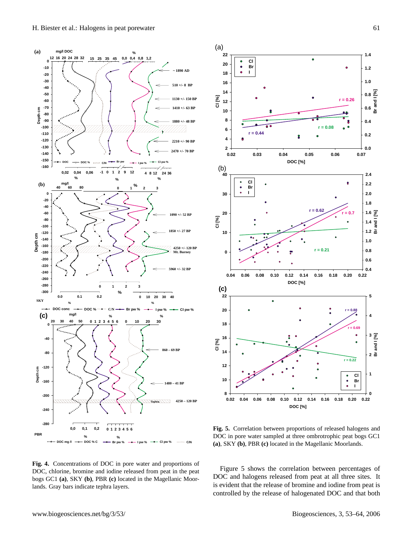

**Fig. 4.** Concentrations of DOC in pore water and proportions of DOC, chlorine, bromine and iodine released from peat in the peat bogs GC1 **(a)**, SKY **(b)**, PBR **(c)** located in the Magellanic Moor-



**Fig. 5.** Correlation between proportions of released halogens and DOC in pore water sampled at three ombrotrophic peat bogs GC1 **(a)**, SKY **(b)**, PBR **(c)** located in the Magellanic Moorlands.

Figure 5 shows the correlation between percentages of DOC and halogens released from peat at all three sites. It is evident that the release of bromine and iodine from peat is controlled by the release of halogenated DOC and that both

lands. Gray bars indicate tephra layers.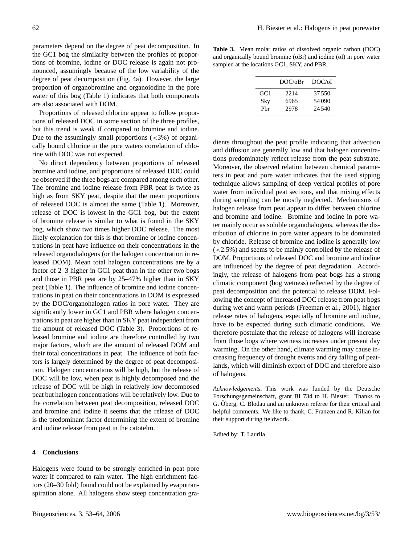parameters depend on the degree of peat decomposition. In the GC1 bog the similarity between the profiles of proportions of bromine, iodine or DOC release is again not pronounced, assumingly because of the low variability of the degree of peat decomposition (Fig. 4a). However, the large proportion of organobromine and organoiodine in the pore water of this bog (Table 1) indicates that both components are also associated with DOM.

Proportions of released chlorine appear to follow proportions of released DOC in some section of the three profiles, but this trend is weak if compared to bromine and iodine. Due to the assumingly small proportions  $\left( \langle 3\% \rangle \right)$  of organically bound chlorine in the pore waters correlation of chlorine with DOC was not expected.

No direct dependency between proportions of released bromine and iodine, and proportions of released DOC could be observed if the three bogs are compared among each other. The bromine and iodine release from PBR peat is twice as high as from SKY peat, despite that the mean proportions of released DOC is almost the same (Table 1). Moreover, release of DOC is lowest in the GC1 bog, but the extent of bromine release is similar to what is found in the SKY bog, which show two times higher DOC release. The most likely explanation for this is that bromine or iodine concentrations in peat have influence on their concentrations in the released organohalogens (or the halogen concentration in released DOM). Mean total halogen concentrations are by a factor of 2–3 higher in GC1 peat than in the other two bogs and those in PBR peat are by 25–47% higher than in SKY peat (Table 1). The influence of bromine and iodine concentrations in peat on their concentrations in DOM is expressed by the DOC/organohalogen ratios in pore water. They are significantly lower in GC1 and PBR where halogen concentrations in peat are higher than in SKY peat independent from the amount of released DOC (Table 3). Proportions of released bromine and iodine are therefore controlled by two major factors, which are the amount of released DOM and their total concentrations in peat. The influence of both factors is largely determined by the degree of peat decomposition. Halogen concentrations will be high, but the release of DOC will be low, when peat is highly decomposed and the release of DOC will be high in relatively low decomposed peat but halogen concentrations will be relatively low. Due to the correlation between peat decomposition, released DOC and bromine and iodine it seems that the release of DOC is the predominant factor determining the extent of bromine and iodine release from peat in the catotelm.

# **4 Conclusions**

Halogens were found to be strongly enriched in peat pore water if compared to rain water. The high enrichment factors (20–30 fold) found could not be explained by evapotranspiration alone. All halogens show steep concentration gra-

**Table 3.** Mean molar ratios of dissolved organic carbon (DOC) and organically bound bromine (oBr) and iodine (oI) in pore water sampled at the locations GC1, SKY, and PBR.

|      | DOC/ <sub>0</sub> Br | DOC/oI |
|------|----------------------|--------|
| GC 1 | 2214                 | 37.550 |
| Sky  | 6965                 | 54090  |
| Phr  | 2978                 | 24.540 |
|      |                      |        |

dients throughout the peat profile indicating that advection and diffusion are generally low and that halogen concentrations predominately reflect release from the peat substrate. Moreover, the observed relation between chemical parameters in peat and pore water indicates that the used sipping technique allows sampling of deep vertical profiles of pore water from individual peat sections, and that mixing effects during sampling can be mostly neglected. Mechanisms of halogen release from peat appear to differ between chlorine and bromine and iodine. Bromine and iodine in pore water mainly occur as soluble organohalogens, whereas the distribution of chlorine in pore water appears to be dominated by chloride. Release of bromine and iodine is generally low (<2.5%) and seems to be mainly controlled by the release of DOM. Proportions of released DOC and bromine and iodine are influenced by the degree of peat degradation. Accordingly, the release of halogens from peat bogs has a strong climatic component (bog wetness) reflected by the degree of peat decomposition and the potential to release DOM. Following the concept of increased DOC release from peat bogs during wet and warm periods (Freeman et al., 2001), higher release rates of halogens, especially of bromine and iodine, have to be expected during such climatic conditions. We therefore postulate that the release of halogens will increase from those bogs where wetness increases under present day warming. On the other hand, climate warming may cause increasing frequency of drought events and dry falling of peatlands, which will diminish export of DOC and therefore also of halogens.

*Acknowledgements.* This work was funded by the Deutsche Forschungsgemeinschaft, grant BI 734 to H. Biester. Thanks to G. Oberg, C. Blodau and an unknown referee for their critical and helpful comments. We like to thank, C. Franzen and R. Kilian for their support during fieldwork.

Edited by: T. Laurila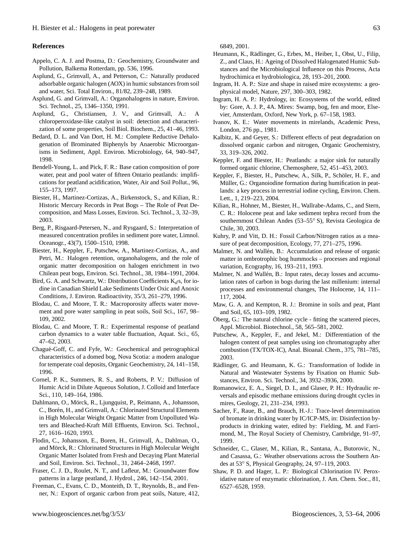# **References**

- Appelo, C. A. J. and Postma, D.: Geochemistry, Groundwater and Pollution, Balkema Rotterdam, pp. 536, 1996.
- Asplund, G., Grimvall, A., and Petterson, C.: Naturally produced adsorbable organic halogen (AOX) in humic substances from soil and water, Sci. Total Environ., 81/82, 239–248, 1989.
- Asplund, G. and Grimvall, A.: Organohalogens in nature, Environ. Sci. Technol., 25, 1346–1350, 1991.
- Asplund, G., Christiansen, J. V., and Grimvall, A.: A chloroperoxidase-like catalyst in soil: detection and characterization of some properties, Soil Biol. Biochem., 25, 41–46, 1993.
- Bedard, D. L. and Van Dort, H. M.: Complete Reductive Dehalogenation of Brominated Biphenyls by Anaerobic Microorganisms in Sediment, Appl. Environ. Microbiology, 64, 940–947, 1998.
- Bendell-Young, L. and Pick, F. R.: Base cation composition of pore water, peat and pool water of fifteen Ontario peatlands: implifications for peatland acidification, Water, Air and Soil Pollut., 96, 155–173, 1997.
- Biester, H., Martinez-Cortizas, A., Birkenstock, S., and Kilian, R.: Historic Mercury Records in Peat Bogs – The Role of Peat Decomposition, and Mass Losses, Environ. Sci. Technol., 3, 32–39, 2003.
- Berg, P., Risgaard-Petersen, N., and Rysgaard, S.: Interpretation of measured concentration profiles in sediment pore water, Limnol. Oceanogr., 43(7), 1500–1510, 1998.
- Biester, H., Keppler, F., Putschew, A., Martinez-Cortizas, A., and Petri, M.: Halogen retention, organohalogens, and the role of organic matter decomposition on halogen enrichment in two Chilean peat bogs, Environ. Sci. Technol., 38, 1984–1991, 2004.
- Bird, G. A. and Schwartz, W.: Distribution Coefficients  $K_d s$ , for iodine in Canadian Shield Lake Sediments Under Oxic and Anoxic Conditions, J. Environ. Radioactivity, 35/3, 261–279, 1996.
- Blodau, C. and Moore, T. R.: Macroporosity affects water movement and pore water sampling in peat soils, Soil Sci., 167, 98– 109, 2002.
- Blodau, C. and Moore, T. R.: Experimental response of peatland carbon dynamics to a water table fluctuation, Aquat. Sci., 65, 47–62, 2003.
- Chagué-Goff, C. and Fyfe, W.: Geochemical and petrographical characteristics of a domed bog, Nova Scotia: a modern analogue for temperate coal deposits, Organic Geochemistry, 24, 141–158, 1996.
- Cornel, P. K., Summers, R. S., and Roberts, P. V.: Diffusion of Humic Acid in Dilute Aqueous Solution, J. Colloid and Interface Sci., 110, 149–164, 1986.
- Dahlmann, O., Mörck, R., Ljungquist, P., Reimann, A., Johansson, C., Borén, H., and Grimvall, A.: Chlorinated Structural Elements in High Molecular Weight Organic Matter from Unpolluted Waters and Bleached-Kraft Mill Effluents, Environ. Sci. Technol., 27, 1616–1620, 1993.
- Flodin, C., Johansson, E., Boren, H., Grimvall, A., Dahlman, O., and Mörck, R.: Chlorinated Structures in High Molecular Weight Organic Matter Isolated from Fresh and Decaying Plant Material and Soil, Environ. Sci. Technol., 31, 2464–2468, 1997.
- Fraser, C. J. D., Roulet, N. T., and Lafleur, M.: Groundwater flow patterns in a large peatland, J. Hydrol., 246, 142–154, 2001.
- Freeman, C., Evans, C. D., Monteith, D. T., Reynolds, B., and Fenner, N.: Export of organic carbon from peat soils, Nature, 412,

6849, 2001.

- Heumann, K., Rädlinger, G., Erbes, M., Heiber, I., Obst, U., Filip, Z., and Claus, H.: Ageing of Dissolved Halogenated Humic Substances and the Microbiological Influence on this Process, Acta hydrochimica et hydrobiologica, 28, 193–201, 2000.
- Ingram, H. A. P.: Size and shape in raised mire ecosystems: a geophysical model, Nature, 297, 300–303, 1982.
- Ingram, H. A. P.: Hydrology, in: Ecosystems of the world, edited by: Gore, A. J. P., 4A. Mires: Swamp, bog, fen and moor, Elsevier, Amsterdam, Oxford, New York, p. 67–158, 1983.
- Ivanov, K. E.: Water movements in mirelands, Academic Press, London, 276 pp., 1981.
- Kalbitz, K. and Geyer, S.: Different effects of peat degradation on dissolved organic carbon and nitrogen, Organic Geochemistry, 33, 319–326, 2002.
- Keppler, F. and Biester, H.: Peatlands: a major sink for naturally formed organic chlorine, Chemosphere, 52, 451–453, 2003.
- Keppler, F., Biester, H., Putschew, A., Silk, P., Schöler, H. F., and Müller, G.: Organoiodine formation during humification in peatlands: a key process in terrestrial iodine cycling, Environ. Chem. Lett., 1, 219–223, 2004.
- Kilian, R., Hohner, M., Biester, H., Wallrabe-Adams, C., and Stern, C. R.: Holocene peat and lake sediment tephra record from the southernmost Chilean Andes (53–55◦ S), Revista Geologica de Chile, 30, 2003.
- Kuhry, P. and Vitt, D. H.: Fossil Carbon/Nitrogen ratios as a measure of peat decomposition, Ecology, 77, 271–275, 1996.
- Malmer, N. and Wallén, B.: Accumulation and release of organic matter in ombrotrophic bog hummocks – processes and regional variation, Ecography, 16, 193–211, 1993.
- Malmer, N. and Wallén, B.: Input rates, decay losses and accumulation rates of carbon in bogs during the last millenium: internal processes and environmental changes, The Holocene, 14, 111– 117, 2004.
- Maw, G. A. and Kempton, R. J.: Bromine in soils and peat, Plant and Soil, 65, 103–109, 1982.
- Öberg, G.: The natural chlorine cycle fitting the scattered pieces, Appl. Microbiol. Biotechnol., 58, 565–581, 2002.
- Putschew, A., Keppler, F., and Jekel, M.: Differentiation of the halogen content of peat samples using ion chromatography after combustion (TX/TOX-IC), Anal. Bioanal. Chem., 375, 781–785, 2003.
- Rädlinger, G. and Heumann, K. G.: Transformation of Iodide in Natural and Wastewater Systems by Fixation on Humic Substances, Environ. Sci. Technol., 34, 3932–3936, 2000.
- Romanowicz, E. A., Siegel, D. I., and Glaser, P. H.: Hydraulic reversals and episodic methane emissions during drought cycles in mires, Geology, 21, 231–234, 1993.
- Sacher, F., Raue, B., and Brauch, H.-J.: Trace-level determination of bromate in drinking water by IC/ICP-MS, in: Disinfection byproducts in drinking water, edited by: Fielding, M. and Farrimond, M., The Royal Society of Chemistry, Cambridge, 91–97, 1999.
- Schneider, C., Glaser, M., Kilian, R., Santana, A., Butorovic, N., and Casassa, G.: Weather observations across the Southern Andes at 53◦ S, Physical Geography, 24, 97–119, 2003.
- Shaw, P. D. and Hager, L. P.: Biological Chlorination IV. Peroxidative nature of enzymatic chlorination, J. Am. Chem. Soc., 81, 6527–6528, 1959.